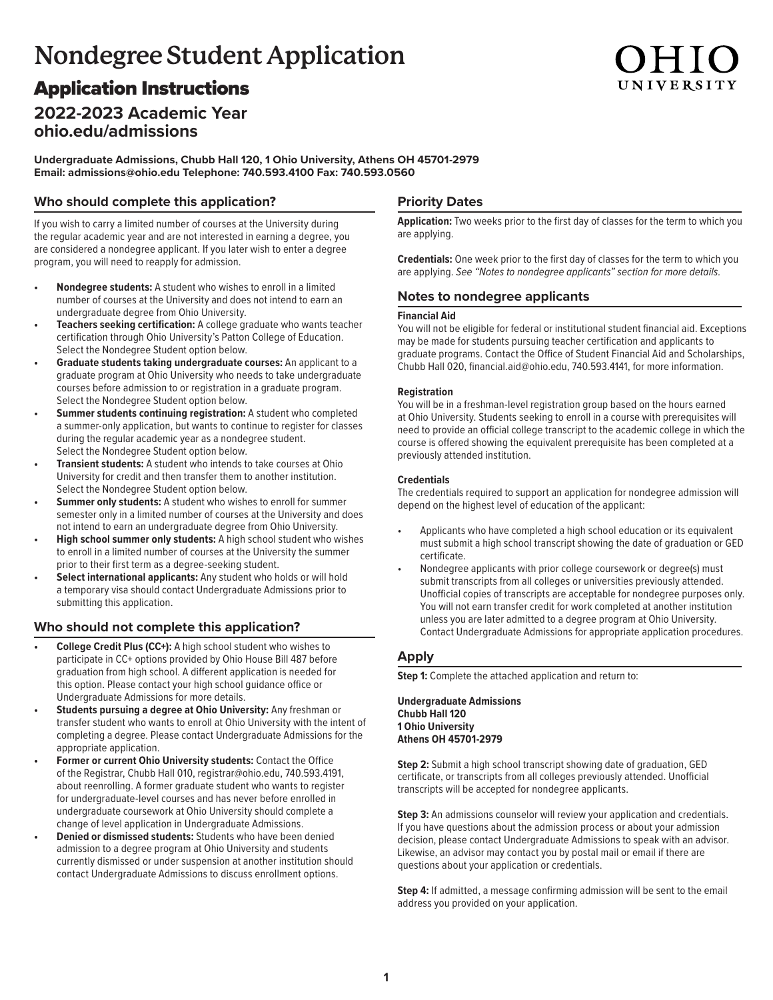# **Nondegree Student Application**

# Application Instructions

# **2022-2023 Academic Year [ohio.edu/admissions](http://ohio.edu/admissions)**

**Undergraduate Admissions, Chubb Hall 120, 1 Ohio University, Athens OH 45701-2979 Email: [admissions@ohio.edu T](mailto:admissions@ohio.edu)elephone: 740.593.4100 Fax: 740.593.0560**

### **Who should complete this application?**

If you wish to carry a limited number of courses at the University during the regular academic year and are not interested in earning a degree, you are considered a nondegree applicant. If you later wish to enter a degree program, you will need to reapply for admission.

- **• Nondegree students:** A student who wishes to enroll in a limited number of courses at the University and does not intend to earn an undergraduate degree from Ohio University.
- **• Teachers seeking certification:** A college graduate who wants teacher certification through Ohio University's Patton College of Education. Select the Nondegree Student option below.
- **• Graduate students taking undergraduate courses:** An applicant to a graduate program at Ohio University who needs to take undergraduate courses before admission to or registration in a graduate program. Select the Nondegree Student option below.
- **Summer students continuing registration:** A student who completed a summer-only application, but wants to continue to register for classes during the regular academic year as a nondegree student. Select the Nondegree Student option below.
- **• Transient students:** A student who intends to take courses at Ohio University for credit and then transfer them to another institution. Select the Nondegree Student option below.
- **• Summer only students:** A student who wishes to enroll for summer semester only in a limited number of courses at the University and does not intend to earn an undergraduate degree from Ohio University.
- **• High school summer only students:** A high school student who wishes to enroll in a limited number of courses at the University the summer prior to their first term as a degree-seeking student.
- **• Select international applicants:** Any student who holds or will hold a temporary visa should contact Undergraduate Admissions prior to submitting this application.

### **Who should not complete this application?**

- **• College Credit Plus (CC+):** A high school student who wishes to participate in CC+ options provided by Ohio House Bill 487 before graduation from high school. A different application is needed for this option. Please contact your high school guidance office or Undergraduate Admissions for more details.
- **• Students pursuing a degree at Ohio University:** Any freshman or transfer student who wants to enroll at Ohio University with the intent of completing a degree. Please contact Undergraduate Admissions for the appropriate application.
- **• Former or current Ohio University students:** Contact the Office of the Registrar, Chubb Hall 010, registrar@ohio.edu, 740.593.4191, about reenrolling. A former graduate student who wants to register for undergraduate-level courses and has never before enrolled in undergraduate coursework at Ohio University should complete a change of level application in Undergraduate Admissions.
- **• Denied or dismissed students:** Students who have been denied admission to a degree program at Ohio University and students currently dismissed or under suspension at another institution should contact Undergraduate Admissions to discuss enrollment options.

## **Priority Dates**

**Application:** Two weeks prior to the first day of classes for the term to which you are applying.

UNIVERSIT!

**Credentials:** One week prior to the first day of classes for the term to which you are applying. *See "Notes to nondegree applicants" section for more details.*

#### **Notes to nondegree applicants**

#### **Financial Aid**

You will not be eligible for federal or institutional student financial aid. Exceptions may be made for students pursuing teacher certification and applicants to graduate programs. Contact the Office of Student Financial Aid and Scholarships, Chubb Hall 020, financial.aid@ohio.edu, 740.593.4141, for more information.

#### **Registration**

You will be in a freshman-level registration group based on the hours earned at Ohio University. Students seeking to enroll in a course with prerequisites will need to provide an official college transcript to the academic college in which the course is offered showing the equivalent prerequisite has been completed at a previously attended institution.

#### **Credentials**

The credentials required to support an application for nondegree admission will depend on the highest level of education of the applicant:

- Applicants who have completed a high school education or its equivalent must submit a high school transcript showing the date of graduation or GED certificate.
- Nondegree applicants with prior college coursework or degree(s) must submit transcripts from all colleges or universities previously attended. Unofficial copies of transcripts are acceptable for nondegree purposes only. You will not earn transfer credit for work completed at another institution unless you are later admitted to a degree program at Ohio University. Contact Undergraduate Admissions for appropriate application procedures.

### **Apply**

**Step 1:** Complete the attached application and return to:

**Undergraduate Admissions Chubb Hall 120 1 Ohio University Athens OH 45701-2979**

**Step 2:** Submit a high school transcript showing date of graduation, GED certificate, or transcripts from all colleges previously attended. Unofficial transcripts will be accepted for nondegree applicants.

**Step 3:** An admissions counselor will review your application and credentials. If you have questions about the admission process or about your admission decision, please contact Undergraduate Admissions to speak with an advisor. Likewise, an advisor may contact you by postal mail or email if there are questions about your application or credentials.

**Step 4:** If admitted, a message confirming admission will be sent to the email address you provided on your application.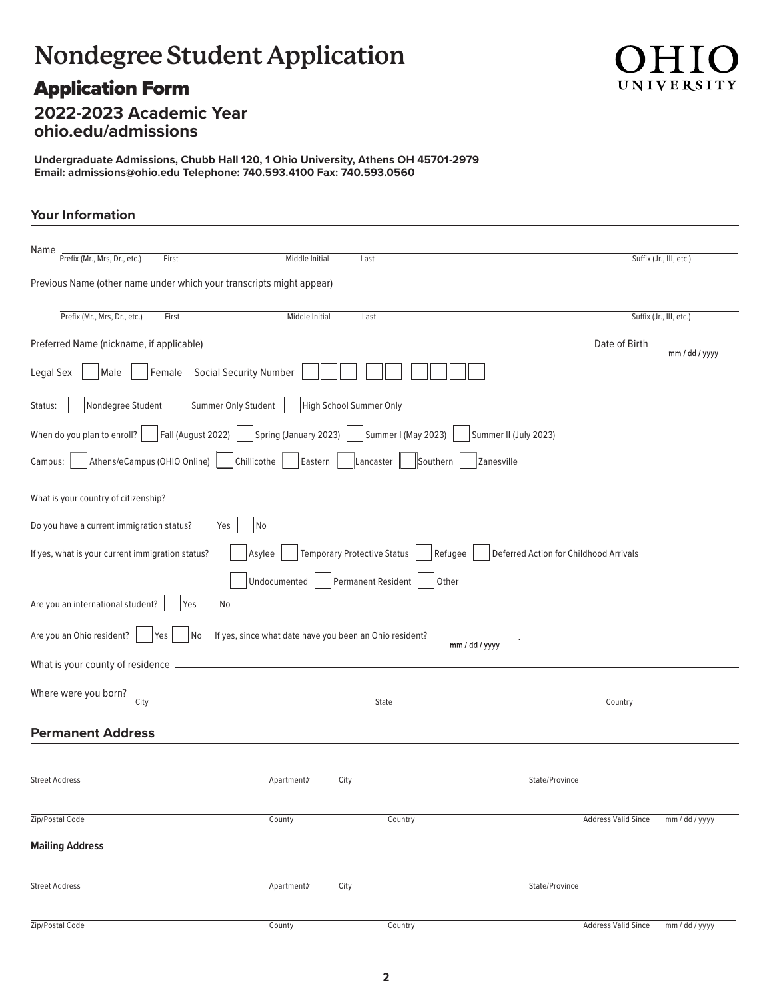# **Nondegree Student Application**

# Application Form



# **2022-2023 Academic Year ohio.edu/admissions**

**Undergraduate Admissions, Chubb Hall 120, 1 Ohio University, Athens OH 45701-2979 Email: admissions@ohio.edu Telephone: 740.593.4100 Fax: 740.593.0560**

# **Your Information**

| Name<br>Prefix (Mr., Mrs, Dr., etc.)<br>First                                 | Middle Initial                                          | Last                               |                     |                                        |                            | Suffix (Jr., III, etc.) |
|-------------------------------------------------------------------------------|---------------------------------------------------------|------------------------------------|---------------------|----------------------------------------|----------------------------|-------------------------|
| Previous Name (other name under which your transcripts might appear)          |                                                         |                                    |                     |                                        |                            |                         |
| Prefix (Mr., Mrs, Dr., etc.)<br>First                                         | Middle Initial                                          | Last                               |                     |                                        |                            | Suffix (Jr., III, etc.) |
|                                                                               |                                                         |                                    |                     |                                        | Date of Birth              | mm / dd / yyyy          |
| Female Social Security Number<br>Male<br>Legal Sex                            |                                                         |                                    |                     |                                        |                            |                         |
| Summer Only Student<br>Nondegree Student<br>Status:                           |                                                         | High School Summer Only            |                     |                                        |                            |                         |
| Fall (August 2022)     Spring (January 2023)  <br>When do you plan to enroll? |                                                         |                                    | Summer I (May 2023) | Summer II (July 2023)                  |                            |                         |
| Athens/eCampus (OHIO Online)<br>Chillicothe<br>Campus:                        | Eastern                                                 | Lancaster                          | Southern            | Zanesville                             |                            |                         |
| What is your country of citizenship? ______                                   |                                                         |                                    |                     |                                        |                            |                         |
| Do you have a current immigration status?<br>No<br>Yes                        |                                                         |                                    |                     |                                        |                            |                         |
| If yes, what is your current immigration status?                              | Asylee                                                  | <b>Temporary Protective Status</b> | Refugee             | Deferred Action for Childhood Arrivals |                            |                         |
|                                                                               | Undocumented                                            | Permanent Resident                 | Other               |                                        |                            |                         |
| Are you an international student?<br>No<br>Yes                                |                                                         |                                    |                     |                                        |                            |                         |
| Are you an Ohio resident?<br>Yes<br>No.                                       | If yes, since what date have you been an Ohio resident? |                                    |                     | mm / dd / yyyy                         |                            |                         |
| What is your county of residence _                                            |                                                         |                                    |                     |                                        |                            |                         |
| Where were you born? $\frac{1}{\text{City}}$                                  |                                                         |                                    | State               |                                        | Country                    |                         |
| <b>Permanent Address</b>                                                      |                                                         |                                    |                     |                                        |                            |                         |
|                                                                               |                                                         |                                    |                     |                                        |                            |                         |
| <b>Street Address</b>                                                         | Apartment#                                              | City                               |                     | State/Province                         |                            |                         |
| Zip/Postal Code                                                               | County                                                  |                                    | Country             |                                        | <b>Address Valid Since</b> | mm / dd / yyyy          |
| <b>Mailing Address</b>                                                        |                                                         |                                    |                     |                                        |                            |                         |
| <b>Street Address</b>                                                         | Apartment#                                              | City                               |                     | State/Province                         |                            |                         |
| Zip/Postal Code                                                               | County                                                  |                                    | Country             |                                        | <b>Address Valid Since</b> | mm / dd / yyyy          |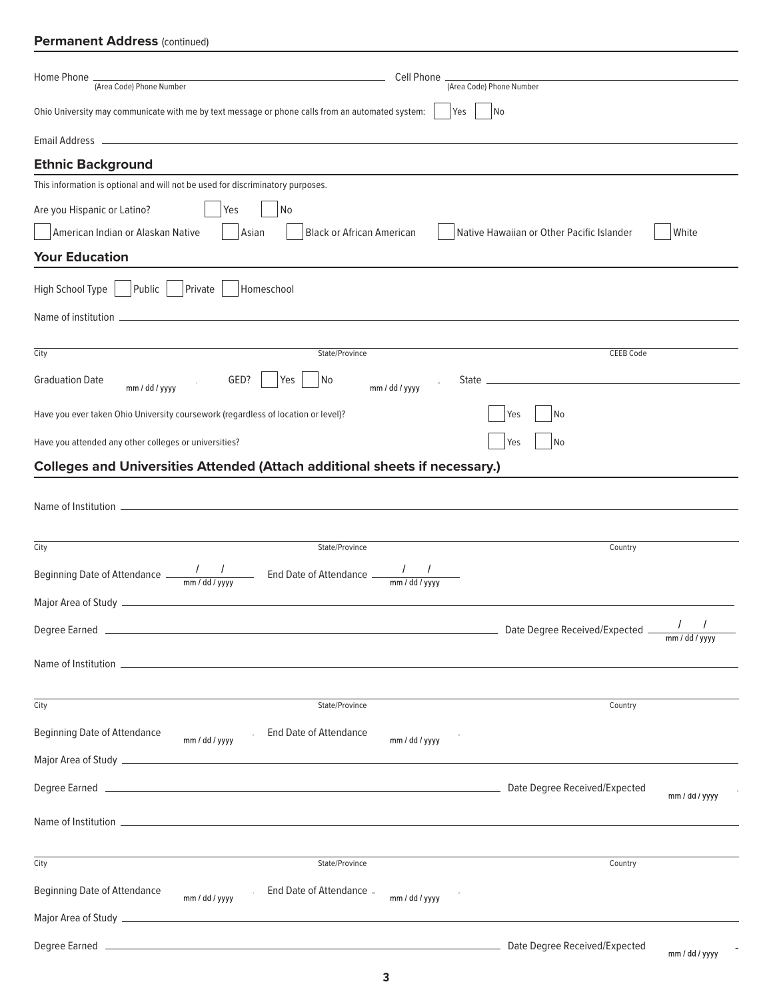### **Permanent Address (continued)**

| (Area Code) Phone Number<br>Ohio University may communicate with me by text message or phone calls from an automated system:<br>  No<br>Yes<br>the contract of the contract of the contract of the contract of the contract of the contract of the contract of<br>No<br>Yes<br>American Indian or Alaskan Native<br><b>Black or African American</b><br>Native Hawaiian or Other Pacific Islander<br>White<br>Asian<br>Public<br>Private<br>Homeschool<br>City<br><b>CEEB Code</b><br>State/Province<br><b>Graduation Date</b><br>GED?<br>Yes<br>No<br>mm / dd / yyyy<br>mm / dd / yyyy<br>No<br>Yes<br>No<br>Yes<br><b>Colleges and Universities Attended (Attach additional sheets if necessary.)</b><br>State/Province<br>Country<br>$\sqrt{2}$<br><b>Contract Contract Contract</b><br>Date Degree Received/Expected _<br>mm / dd / yyyy<br>State/Province<br>Country<br><b>End Date of Attendance</b><br>mm / dd / yyyy<br>mm / dd / yyyy<br>mm / dd / yyyy<br>State/Province<br>Country<br><b>Beginning Date of Attendance</b><br>End Date of Attendance _<br>mm / dd / yyyy<br>mm / dd / yyyy | Home Phone.<br>Cell Phone<br>the control of the control of the control of the control of the control of the control of<br>(Area Code) Phone Number |  |
|------------------------------------------------------------------------------------------------------------------------------------------------------------------------------------------------------------------------------------------------------------------------------------------------------------------------------------------------------------------------------------------------------------------------------------------------------------------------------------------------------------------------------------------------------------------------------------------------------------------------------------------------------------------------------------------------------------------------------------------------------------------------------------------------------------------------------------------------------------------------------------------------------------------------------------------------------------------------------------------------------------------------------------------------------------------------------------------------------|----------------------------------------------------------------------------------------------------------------------------------------------------|--|
|                                                                                                                                                                                                                                                                                                                                                                                                                                                                                                                                                                                                                                                                                                                                                                                                                                                                                                                                                                                                                                                                                                      |                                                                                                                                                    |  |
|                                                                                                                                                                                                                                                                                                                                                                                                                                                                                                                                                                                                                                                                                                                                                                                                                                                                                                                                                                                                                                                                                                      |                                                                                                                                                    |  |
|                                                                                                                                                                                                                                                                                                                                                                                                                                                                                                                                                                                                                                                                                                                                                                                                                                                                                                                                                                                                                                                                                                      | Email Address                                                                                                                                      |  |
|                                                                                                                                                                                                                                                                                                                                                                                                                                                                                                                                                                                                                                                                                                                                                                                                                                                                                                                                                                                                                                                                                                      | <b>Ethnic Background</b>                                                                                                                           |  |
|                                                                                                                                                                                                                                                                                                                                                                                                                                                                                                                                                                                                                                                                                                                                                                                                                                                                                                                                                                                                                                                                                                      | This information is optional and will not be used for discriminatory purposes.                                                                     |  |
|                                                                                                                                                                                                                                                                                                                                                                                                                                                                                                                                                                                                                                                                                                                                                                                                                                                                                                                                                                                                                                                                                                      | Are you Hispanic or Latino?                                                                                                                        |  |
|                                                                                                                                                                                                                                                                                                                                                                                                                                                                                                                                                                                                                                                                                                                                                                                                                                                                                                                                                                                                                                                                                                      |                                                                                                                                                    |  |
|                                                                                                                                                                                                                                                                                                                                                                                                                                                                                                                                                                                                                                                                                                                                                                                                                                                                                                                                                                                                                                                                                                      | <b>Your Education</b>                                                                                                                              |  |
|                                                                                                                                                                                                                                                                                                                                                                                                                                                                                                                                                                                                                                                                                                                                                                                                                                                                                                                                                                                                                                                                                                      | High School Type                                                                                                                                   |  |
|                                                                                                                                                                                                                                                                                                                                                                                                                                                                                                                                                                                                                                                                                                                                                                                                                                                                                                                                                                                                                                                                                                      |                                                                                                                                                    |  |
|                                                                                                                                                                                                                                                                                                                                                                                                                                                                                                                                                                                                                                                                                                                                                                                                                                                                                                                                                                                                                                                                                                      |                                                                                                                                                    |  |
|                                                                                                                                                                                                                                                                                                                                                                                                                                                                                                                                                                                                                                                                                                                                                                                                                                                                                                                                                                                                                                                                                                      |                                                                                                                                                    |  |
|                                                                                                                                                                                                                                                                                                                                                                                                                                                                                                                                                                                                                                                                                                                                                                                                                                                                                                                                                                                                                                                                                                      |                                                                                                                                                    |  |
|                                                                                                                                                                                                                                                                                                                                                                                                                                                                                                                                                                                                                                                                                                                                                                                                                                                                                                                                                                                                                                                                                                      | Have you ever taken Ohio University coursework (regardless of location or level)?                                                                  |  |
|                                                                                                                                                                                                                                                                                                                                                                                                                                                                                                                                                                                                                                                                                                                                                                                                                                                                                                                                                                                                                                                                                                      | Have you attended any other colleges or universities?                                                                                              |  |
|                                                                                                                                                                                                                                                                                                                                                                                                                                                                                                                                                                                                                                                                                                                                                                                                                                                                                                                                                                                                                                                                                                      |                                                                                                                                                    |  |
|                                                                                                                                                                                                                                                                                                                                                                                                                                                                                                                                                                                                                                                                                                                                                                                                                                                                                                                                                                                                                                                                                                      |                                                                                                                                                    |  |
|                                                                                                                                                                                                                                                                                                                                                                                                                                                                                                                                                                                                                                                                                                                                                                                                                                                                                                                                                                                                                                                                                                      |                                                                                                                                                    |  |
|                                                                                                                                                                                                                                                                                                                                                                                                                                                                                                                                                                                                                                                                                                                                                                                                                                                                                                                                                                                                                                                                                                      | City                                                                                                                                               |  |
|                                                                                                                                                                                                                                                                                                                                                                                                                                                                                                                                                                                                                                                                                                                                                                                                                                                                                                                                                                                                                                                                                                      | Beginning Date of Attendance $\frac{1}{\text{mm}/\text{dd}/\text{yyy}}$ End Date of Attendance $\frac{1}{\text{mm}/\text{dd}/\text{yyy}}$          |  |
|                                                                                                                                                                                                                                                                                                                                                                                                                                                                                                                                                                                                                                                                                                                                                                                                                                                                                                                                                                                                                                                                                                      |                                                                                                                                                    |  |
|                                                                                                                                                                                                                                                                                                                                                                                                                                                                                                                                                                                                                                                                                                                                                                                                                                                                                                                                                                                                                                                                                                      |                                                                                                                                                    |  |
|                                                                                                                                                                                                                                                                                                                                                                                                                                                                                                                                                                                                                                                                                                                                                                                                                                                                                                                                                                                                                                                                                                      |                                                                                                                                                    |  |
|                                                                                                                                                                                                                                                                                                                                                                                                                                                                                                                                                                                                                                                                                                                                                                                                                                                                                                                                                                                                                                                                                                      | City                                                                                                                                               |  |
|                                                                                                                                                                                                                                                                                                                                                                                                                                                                                                                                                                                                                                                                                                                                                                                                                                                                                                                                                                                                                                                                                                      | <b>Beginning Date of Attendance</b>                                                                                                                |  |
|                                                                                                                                                                                                                                                                                                                                                                                                                                                                                                                                                                                                                                                                                                                                                                                                                                                                                                                                                                                                                                                                                                      |                                                                                                                                                    |  |
|                                                                                                                                                                                                                                                                                                                                                                                                                                                                                                                                                                                                                                                                                                                                                                                                                                                                                                                                                                                                                                                                                                      |                                                                                                                                                    |  |
|                                                                                                                                                                                                                                                                                                                                                                                                                                                                                                                                                                                                                                                                                                                                                                                                                                                                                                                                                                                                                                                                                                      |                                                                                                                                                    |  |
|                                                                                                                                                                                                                                                                                                                                                                                                                                                                                                                                                                                                                                                                                                                                                                                                                                                                                                                                                                                                                                                                                                      | City                                                                                                                                               |  |
|                                                                                                                                                                                                                                                                                                                                                                                                                                                                                                                                                                                                                                                                                                                                                                                                                                                                                                                                                                                                                                                                                                      |                                                                                                                                                    |  |
|                                                                                                                                                                                                                                                                                                                                                                                                                                                                                                                                                                                                                                                                                                                                                                                                                                                                                                                                                                                                                                                                                                      |                                                                                                                                                    |  |
| mm / dd / yyyy                                                                                                                                                                                                                                                                                                                                                                                                                                                                                                                                                                                                                                                                                                                                                                                                                                                                                                                                                                                                                                                                                       |                                                                                                                                                    |  |